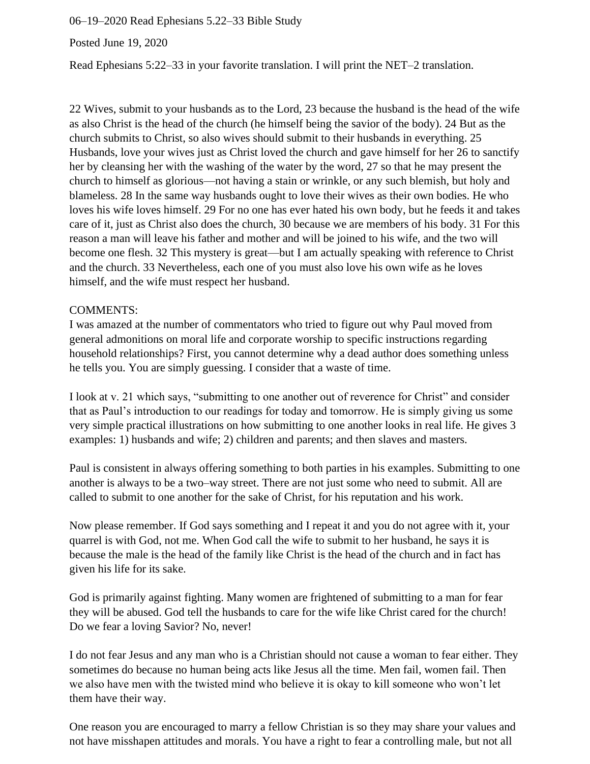06–19–2020 Read Ephesians 5.22–33 Bible Study

Posted June 19, 2020

Read Ephesians 5:22–33 in your favorite translation. I will print the NET–2 translation.

22 Wives, submit to your husbands as to the Lord, 23 because the husband is the head of the wife as also Christ is the head of the church (he himself being the savior of the body). 24 But as the church submits to Christ, so also wives should submit to their husbands in everything. 25 Husbands, love your wives just as Christ loved the church and gave himself for her 26 to sanctify her by cleansing her with the washing of the water by the word, 27 so that he may present the church to himself as glorious—not having a stain or wrinkle, or any such blemish, but holy and blameless. 28 In the same way husbands ought to love their wives as their own bodies. He who loves his wife loves himself. 29 For no one has ever hated his own body, but he feeds it and takes care of it, just as Christ also does the church, 30 because we are members of his body. 31 For this reason a man will leave his father and mother and will be joined to his wife, and the two will become one flesh. 32 This mystery is great—but I am actually speaking with reference to Christ and the church. 33 Nevertheless, each one of you must also love his own wife as he loves himself, and the wife must respect her husband.

## COMMENTS:

I was amazed at the number of commentators who tried to figure out why Paul moved from general admonitions on moral life and corporate worship to specific instructions regarding household relationships? First, you cannot determine why a dead author does something unless he tells you. You are simply guessing. I consider that a waste of time.

I look at v. 21 which says, "submitting to one another out of reverence for Christ" and consider that as Paul's introduction to our readings for today and tomorrow. He is simply giving us some very simple practical illustrations on how submitting to one another looks in real life. He gives 3 examples: 1) husbands and wife; 2) children and parents; and then slaves and masters.

Paul is consistent in always offering something to both parties in his examples. Submitting to one another is always to be a two–way street. There are not just some who need to submit. All are called to submit to one another for the sake of Christ, for his reputation and his work.

Now please remember. If God says something and I repeat it and you do not agree with it, your quarrel is with God, not me. When God call the wife to submit to her husband, he says it is because the male is the head of the family like Christ is the head of the church and in fact has given his life for its sake.

God is primarily against fighting. Many women are frightened of submitting to a man for fear they will be abused. God tell the husbands to care for the wife like Christ cared for the church! Do we fear a loving Savior? No, never!

I do not fear Jesus and any man who is a Christian should not cause a woman to fear either. They sometimes do because no human being acts like Jesus all the time. Men fail, women fail. Then we also have men with the twisted mind who believe it is okay to kill someone who won't let them have their way.

One reason you are encouraged to marry a fellow Christian is so they may share your values and not have misshapen attitudes and morals. You have a right to fear a controlling male, but not all